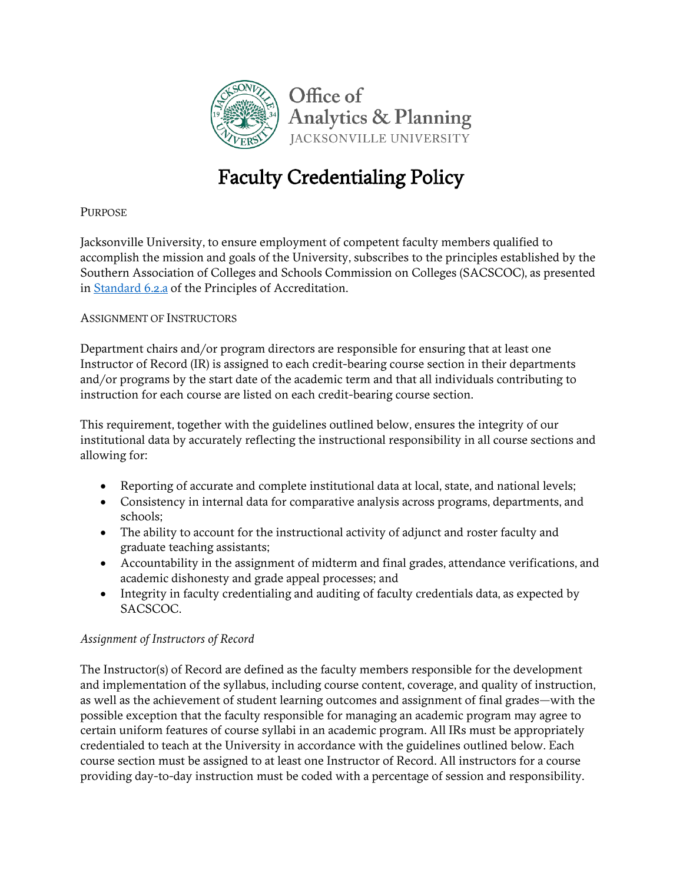

# Faculty Credentialing Policy

### **PURPOSE**

Jacksonville University, to ensure employment of competent faculty members qualified to accomplish the mission and goals of the University, subscribes to the principles established by the Southern Association of Colleges and Schools Commission on Colleges (SACSCOC), as presented in [Standard 6.2.a](http://www.ju.edu/analyticsandplanning/assessmentandaccreditation/SACSCOC9.6.pdf) of the Principles of Accreditation.

#### ASSIGNMENT OF INSTRUCTORS

Department chairs and/or program directors are responsible for ensuring that at least one Instructor of Record (IR) is assigned to each credit-bearing course section in their departments and/or programs by the start date of the academic term and that all individuals contributing to instruction for each course are listed on each credit-bearing course section.

This requirement, together with the guidelines outlined below, ensures the integrity of our institutional data by accurately reflecting the instructional responsibility in all course sections and allowing for:

- Reporting of accurate and complete institutional data at local, state, and national levels;
- Consistency in internal data for comparative analysis across programs, departments, and schools;
- The ability to account for the instructional activity of adjunct and roster faculty and graduate teaching assistants;
- Accountability in the assignment of midterm and final grades, attendance verifications, and academic dishonesty and grade appeal processes; and
- Integrity in faculty credentialing and auditing of faculty credentials data, as expected by SACSCOC.

#### *Assignment of Instructors of Record*

The Instructor(s) of Record are defined as the faculty members responsible for the development and implementation of the syllabus, including course content, coverage, and quality of instruction, as well as the achievement of student learning outcomes and assignment of final grades—with the possible exception that the faculty responsible for managing an academic program may agree to certain uniform features of course syllabi in an academic program. All IRs must be appropriately credentialed to teach at the University in accordance with the guidelines outlined below. Each course section must be assigned to at least one Instructor of Record. All instructors for a course providing day-to-day instruction must be coded with a percentage of session and responsibility.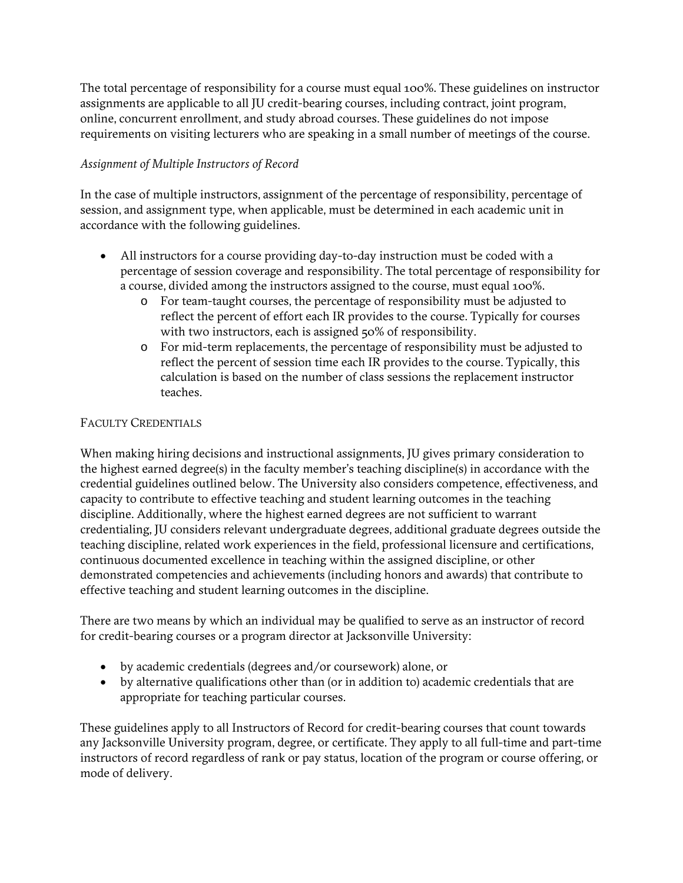The total percentage of responsibility for a course must equal 100%. These guidelines on instructor assignments are applicable to all JU credit-bearing courses, including contract, joint program, online, concurrent enrollment, and study abroad courses. These guidelines do not impose requirements on visiting lecturers who are speaking in a small number of meetings of the course.

## *Assignment of Multiple Instructors of Record*

In the case of multiple instructors, assignment of the percentage of responsibility, percentage of session, and assignment type, when applicable, must be determined in each academic unit in accordance with the following guidelines.

- All instructors for a course providing day-to-day instruction must be coded with a percentage of session coverage and responsibility. The total percentage of responsibility for a course, divided among the instructors assigned to the course, must equal 100%.
	- o For team-taught courses, the percentage of responsibility must be adjusted to reflect the percent of effort each IR provides to the course. Typically for courses with two instructors, each is assigned 50% of responsibility.
	- o For mid-term replacements, the percentage of responsibility must be adjusted to reflect the percent of session time each IR provides to the course. Typically, this calculation is based on the number of class sessions the replacement instructor teaches.

## FACULTY CREDENTIALS

When making hiring decisions and instructional assignments, JU gives primary consideration to the highest earned degree(s) in the faculty member's teaching discipline(s) in accordance with the credential guidelines outlined below. The University also considers competence, effectiveness, and capacity to contribute to effective teaching and student learning outcomes in the teaching discipline. Additionally, where the highest earned degrees are not sufficient to warrant credentialing, JU considers relevant undergraduate degrees, additional graduate degrees outside the teaching discipline, related work experiences in the field, professional licensure and certifications, continuous documented excellence in teaching within the assigned discipline, or other demonstrated competencies and achievements (including honors and awards) that contribute to effective teaching and student learning outcomes in the discipline.

There are two means by which an individual may be qualified to serve as an instructor of record for credit-bearing courses or a program director at Jacksonville University:

- by academic credentials (degrees and/or coursework) alone, or
- by alternative qualifications other than (or in addition to) academic credentials that are appropriate for teaching particular courses.

These guidelines apply to all Instructors of Record for credit-bearing courses that count towards any Jacksonville University program, degree, or certificate. They apply to all full-time and part-time instructors of record regardless of rank or pay status, location of the program or course offering, or mode of delivery.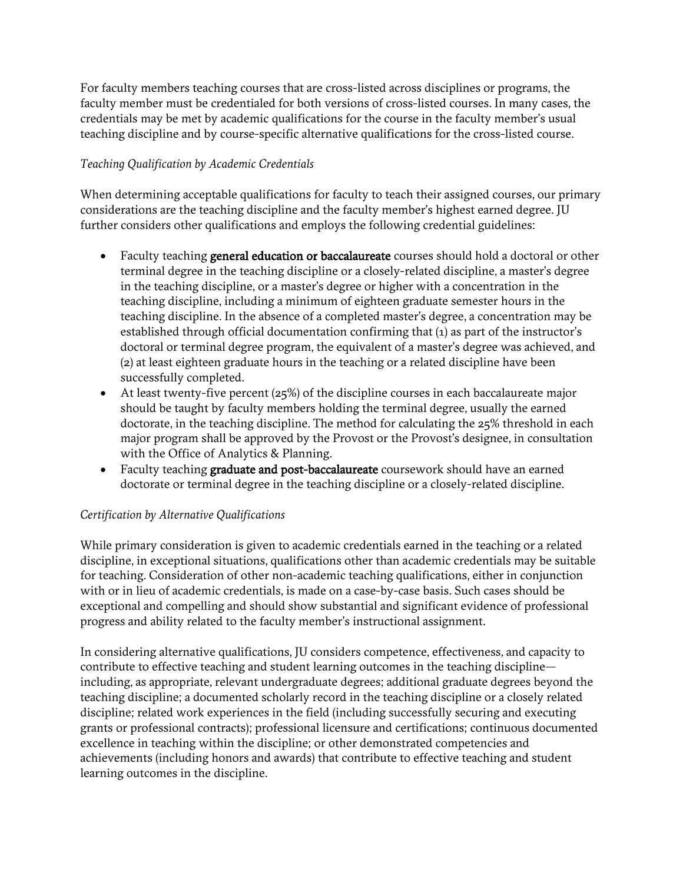For faculty members teaching courses that are cross-listed across disciplines or programs, the faculty member must be credentialed for both versions of cross-listed courses. In many cases, the credentials may be met by academic qualifications for the course in the faculty member's usual teaching discipline and by course-specific alternative qualifications for the cross-listed course.

## *Teaching Qualification by Academic Credentials*

When determining acceptable qualifications for faculty to teach their assigned courses, our primary considerations are the teaching discipline and the faculty member's highest earned degree. JU further considers other qualifications and employs the following credential guidelines:

- Faculty teaching **general education or baccalaureate** courses should hold a doctoral or other terminal degree in the teaching discipline or a closely-related discipline, a master's degree in the teaching discipline, or a master's degree or higher with a concentration in the teaching discipline, including a minimum of eighteen graduate semester hours in the teaching discipline. In the absence of a completed master's degree, a concentration may be established through official documentation confirming that (1) as part of the instructor's doctoral or terminal degree program, the equivalent of a master's degree was achieved, and (2) at least eighteen graduate hours in the teaching or a related discipline have been successfully completed.
- At least twenty-five percent  $(25%)$  of the discipline courses in each baccalaureate major should be taught by faculty members holding the terminal degree, usually the earned doctorate, in the teaching discipline. The method for calculating the 25% threshold in each major program shall be approved by the Provost or the Provost's designee, in consultation with the Office of Analytics & Planning.
- Faculty teaching graduate and post-baccalaureate coursework should have an earned doctorate or terminal degree in the teaching discipline or a closely-related discipline.

#### *Certification by Alternative Qualifications*

While primary consideration is given to academic credentials earned in the teaching or a related discipline, in exceptional situations, qualifications other than academic credentials may be suitable for teaching. Consideration of other non-academic teaching qualifications, either in conjunction with or in lieu of academic credentials, is made on a case-by-case basis. Such cases should be exceptional and compelling and should show substantial and significant evidence of professional progress and ability related to the faculty member's instructional assignment.

In considering alternative qualifications, JU considers competence, effectiveness, and capacity to contribute to effective teaching and student learning outcomes in the teaching discipline including, as appropriate, relevant undergraduate degrees; additional graduate degrees beyond the teaching discipline; a documented scholarly record in the teaching discipline or a closely related discipline; related work experiences in the field (including successfully securing and executing grants or professional contracts); professional licensure and certifications; continuous documented excellence in teaching within the discipline; or other demonstrated competencies and achievements (including honors and awards) that contribute to effective teaching and student learning outcomes in the discipline.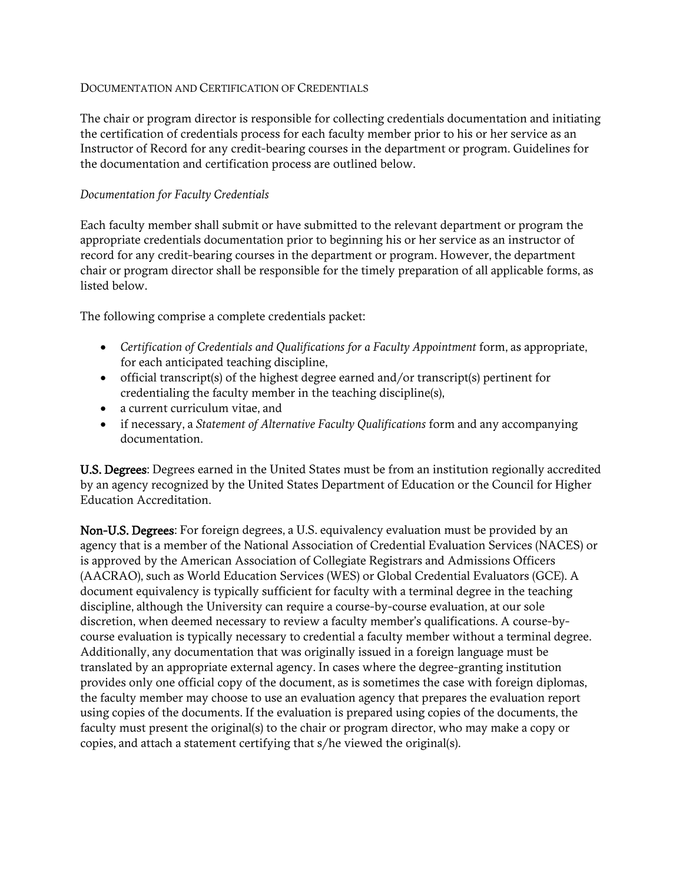#### DOCUMENTATION AND CERTIFICATION OF CREDENTIALS

The chair or program director is responsible for collecting credentials documentation and initiating the certification of credentials process for each faculty member prior to his or her service as an Instructor of Record for any credit-bearing courses in the department or program. Guidelines for the documentation and certification process are outlined below.

#### *Documentation for Faculty Credentials*

Each faculty member shall submit or have submitted to the relevant department or program the appropriate credentials documentation prior to beginning his or her service as an instructor of record for any credit-bearing courses in the department or program. However, the department chair or program director shall be responsible for the timely preparation of all applicable forms, as listed below.

The following comprise a complete credentials packet:

- Certification of Credentials and Qualifications for a Faculty Appointment form, as appropriate, for each anticipated teaching discipline,
- official transcript(s) of the highest degree earned and/or transcript(s) pertinent for credentialing the faculty member in the teaching discipline(s),
- a current curriculum vitae, and
- if necessary, a *Statement of Alternative Faculty Qualifications* form and any accompanying documentation.

U.S. Degrees: Degrees earned in the United States must be from an institution regionally accredited by an agency recognized by the United States Department of Education or the Council for Higher Education Accreditation.

Non-U.S. Degrees: For foreign degrees, a U.S. equivalency evaluation must be provided by an agency that is a member of the National Association of Credential Evaluation Services (NACES) or is approved by the American Association of Collegiate Registrars and Admissions Officers (AACRAO), such as World Education Services (WES) or Global Credential Evaluators (GCE). A document equivalency is typically sufficient for faculty with a terminal degree in the teaching discipline, although the University can require a course-by-course evaluation, at our sole discretion, when deemed necessary to review a faculty member's qualifications. A course-bycourse evaluation is typically necessary to credential a faculty member without a terminal degree. Additionally, any documentation that was originally issued in a foreign language must be translated by an appropriate external agency. In cases where the degree-granting institution provides only one official copy of the document, as is sometimes the case with foreign diplomas, the faculty member may choose to use an evaluation agency that prepares the evaluation report using copies of the documents. If the evaluation is prepared using copies of the documents, the faculty must present the original(s) to the chair or program director, who may make a copy or copies, and attach a statement certifying that s/he viewed the original(s).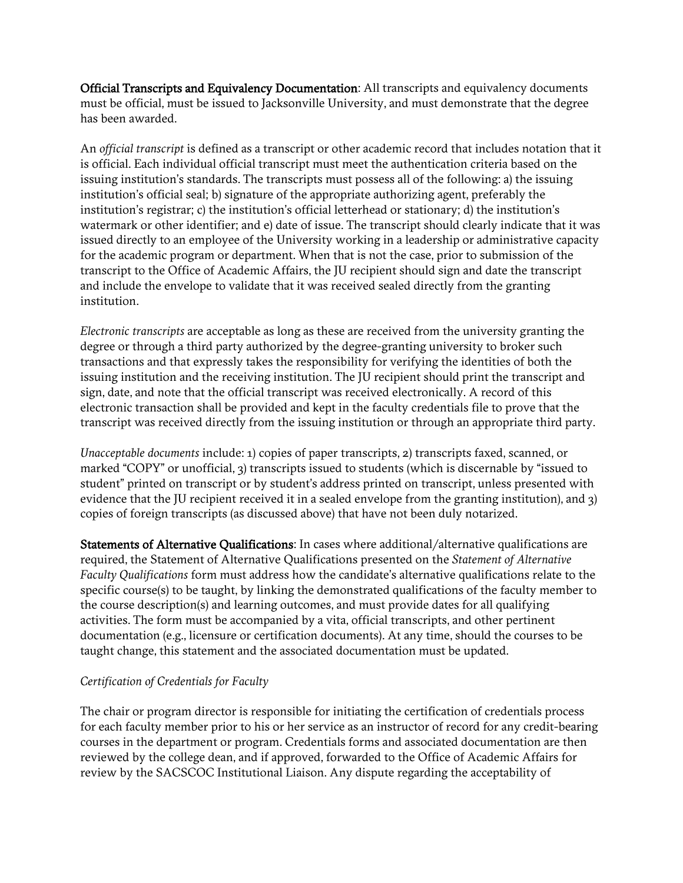Official Transcripts and Equivalency Documentation: All transcripts and equivalency documents must be official, must be issued to Jacksonville University, and must demonstrate that the degree has been awarded.

An *official transcript* is defined as a transcript or other academic record that includes notation that it is official. Each individual official transcript must meet the authentication criteria based on the issuing institution's standards. The transcripts must possess all of the following: a) the issuing institution's official seal; b) signature of the appropriate authorizing agent, preferably the institution's registrar; c) the institution's official letterhead or stationary; d) the institution's watermark or other identifier; and e) date of issue. The transcript should clearly indicate that it was issued directly to an employee of the University working in a leadership or administrative capacity for the academic program or department. When that is not the case, prior to submission of the transcript to the Office of Academic Affairs, the JU recipient should sign and date the transcript and include the envelope to validate that it was received sealed directly from the granting institution.

*Electronic transcripts* are acceptable as long as these are received from the university granting the degree or through a third party authorized by the degree-granting university to broker such transactions and that expressly takes the responsibility for verifying the identities of both the issuing institution and the receiving institution. The JU recipient should print the transcript and sign, date, and note that the official transcript was received electronically. A record of this electronic transaction shall be provided and kept in the faculty credentials file to prove that the transcript was received directly from the issuing institution or through an appropriate third party.

*Unacceptable documents* include: 1) copies of paper transcripts, 2) transcripts faxed, scanned, or marked "COPY" or unofficial, 3) transcripts issued to students (which is discernable by "issued to student" printed on transcript or by student's address printed on transcript, unless presented with evidence that the JU recipient received it in a sealed envelope from the granting institution), and 3) copies of foreign transcripts (as discussed above) that have not been duly notarized.

Statements of Alternative Qualifications: In cases where additional/alternative qualifications are required, the Statement of Alternative Qualifications presented on the *Statement of Alternative Faculty Qualifications* form must address how the candidate's alternative qualifications relate to the specific course(s) to be taught, by linking the demonstrated qualifications of the faculty member to the course description(s) and learning outcomes, and must provide dates for all qualifying activities. The form must be accompanied by a vita, official transcripts, and other pertinent documentation (e.g., licensure or certification documents). At any time, should the courses to be taught change, this statement and the associated documentation must be updated.

#### *Certification of Credentials for Faculty*

The chair or program director is responsible for initiating the certification of credentials process for each faculty member prior to his or her service as an instructor of record for any credit-bearing courses in the department or program. Credentials forms and associated documentation are then reviewed by the college dean, and if approved, forwarded to the Office of Academic Affairs for review by the SACSCOC Institutional Liaison. Any dispute regarding the acceptability of